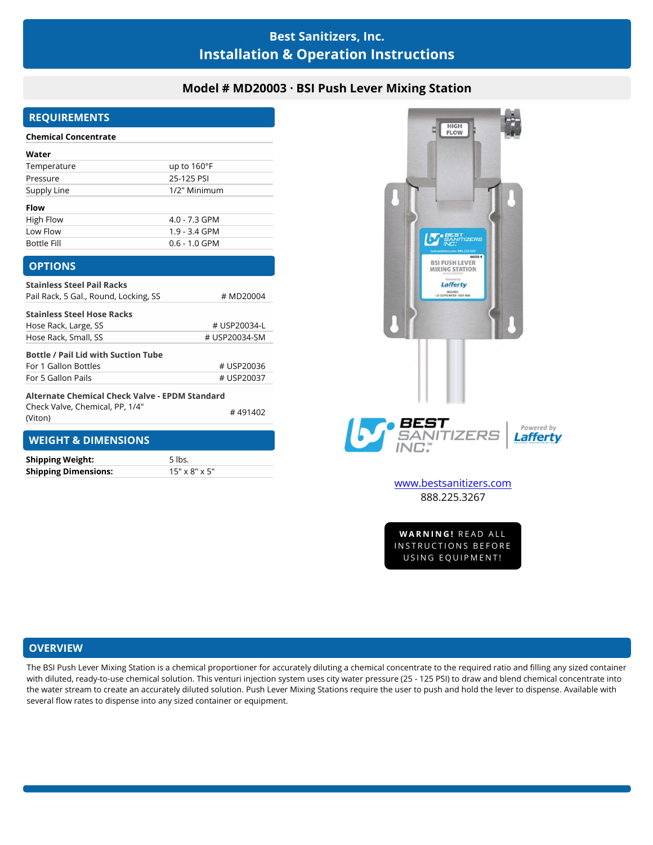# **Best Sanitizers, Inc. Installation & Operation Instructions**

## **Model # MD20003 · BSI Push Lever Mixing Station**

## **REQUIREMENTS**

## **Chemical Concentrate**

| Water              |                      |
|--------------------|----------------------|
| Temperature        | up to $160^{\circ}F$ |
| Pressure           | 25-125 PSI           |
| Supply Line        | 1/2" Minimum         |
| <b>Flow</b>        |                      |
| High Flow          | $4.0 - 7.3$ GPM      |
| Low Flow           | $1.9 - 3.4$ GPM      |
| <b>Bottle Fill</b> | $0.6 - 1.0$ GPM      |

#### **OPTIONS**

(Viton)

| <b>Stainless Steel Pail Racks</b>                                                 |               |
|-----------------------------------------------------------------------------------|---------------|
| Pail Rack, 5 Gal., Round, Locking, SS                                             | # MD20004     |
| <b>Stainless Steel Hose Racks</b>                                                 |               |
| Hose Rack, Large, SS                                                              | # USP20034-L  |
| Hose Rack, Small, SS                                                              | # USP20034-SM |
| <b>Bottle / Pail Lid with Suction Tube</b>                                        |               |
| For 1 Gallon Bottles                                                              | # USP20036    |
| For 5 Gallon Pails                                                                | # USP20037    |
| Alternate Chemical Check Valve - EPDM Standard<br>Check Valve, Chemical, PP, 1/4" |               |
|                                                                                   | #491402       |



[www.bestsanitizers.com](http://www.bestsanitizers.com/) 888.225.3267

WW.Destsanitizers.com<br>888.225.3267<br>WARNING! READ ALL<br>NSTRUCTIONS BEFORE 888.225.3267<br>WARNING! READ ALL<br>INSTRUCTIONS BEFORE<br>USING EQUIPMENT! **VARNING!** READ ALL<br>STRUCTIONS BEFORE<br>USING EQUIPMENT!

## **WEIGHT & DIMENSIONS**

**Shipping Weight:** 5 lbs. **Shipping Dimensions:** 15" x 8" x 5"

### **OVERVIEW**

The BSI Push Lever Mixing Station is a chemical proportioner for accurately diluting a chemical concentrate to the required ratio and filling any sized container with diluted, ready-to-use chemical solution. This venturi injection system uses city water pressure (25 - 125 PSI) to draw and blend chemical concentrate into the water stream to create an accurately diluted solution. Push Lever Mixing Stations require the user to push and hold the lever to dispense. Available with several flow rates to dispense into any sized container or equipment.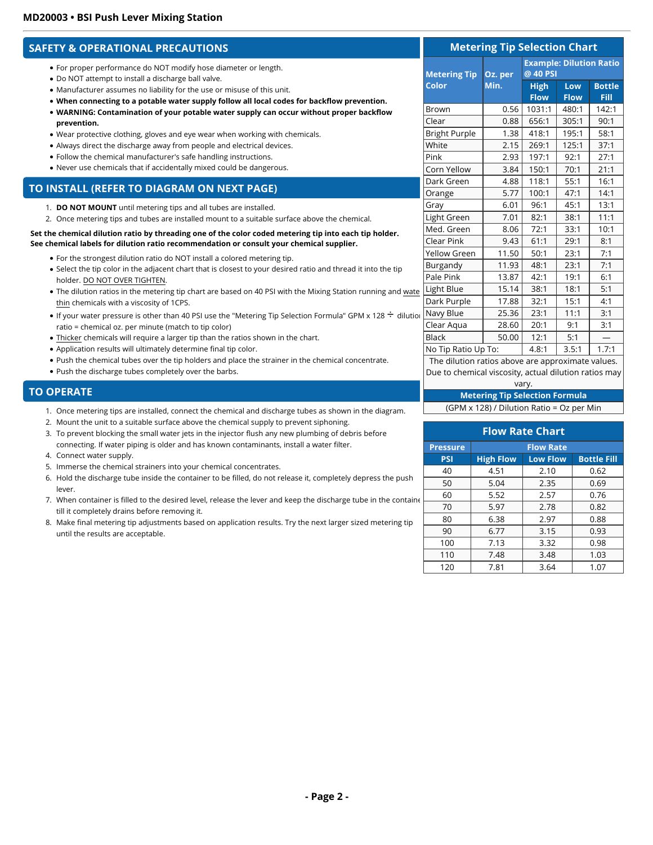## **SAFETY & OPERATIONAL PRECAUTIONS**

- For proper performance do NOT modify hose diameter or length.
- Do NOT attempt to install a discharge ball valve.
- Manufacturer assumes no liability for the use or misuse of this unit.
- **When connecting to a potable water supply follow all local codes for backflow prevention.**
- **WARNING: Contamination of your potable water supply can occur without proper backflow prevention.**
- Wear protective clothing, gloves and eye wear when working with chemicals.
- Always direct the discharge away from people and electrical devices.
- Follow the chemical manufacturer's safe handling instructions.
- Never use chemicals that if accidentally mixed could be dangerous.

## **TO INSTALL (REFER TO DIAGRAM ON NEXT PAGE)**

- 1. **DO NOT MOUNT** until metering tips and all tubes are installed.
- 2. Once metering tips and tubes are installed mount to a suitable surface above the chemical.

#### **Set the chemical dilution ratio by threading one of the color coded metering tip into each tip holder. See chemical labels for dilution ratio recommendation or consult your chemical supplier.**

- For the strongest dilution ratio do NOT install a colored metering tip.
- Select the tip color in the adjacent chart that is closest to your desired ratio and thread it into the tip holder. DO NOT OVER TIGHTEN.
- . The dilution ratios in the metering tip chart are based on 40 PSI with the Mixing Station running and wate thin chemicals with a viscosity of 1CPS.
- If your water pressure is other than 40 PSI use the "Metering Tip Selection Formula" GPM x 128  $\div$  dilution ratio = chemical oz. per minute (match to tip color)
- Thicker chemicals will require a larger tip than the ratios shown in the chart.
- Application results will ultimately determine final tip color.
- Push the chemical tubes over the tip holders and place the strainer in the chemical concentrate.
- Push the discharge tubes completely over the barbs.

#### **TO OPERATE**

- 1. Once metering tips are installed, connect the chemical and discharge tubes as shown in the diagram.
- 2. Mount the unit to a suitable surface above the chemical supply to prevent siphoning.
- 3. To prevent blocking the small water jets in the injector flush any new plumbing of debris before connecting. If water piping is older and has known contaminants, install a water filter.
- 4. Connect water supply.
- 5. Immerse the chemical strainers into your chemical concentrates.
- 6. Hold the discharge tube inside the container to be filled, do not release it, completely depress the push lever.
- 7. When container is filled to the desired level, release the lever and keep the discharge tube in the contain $\epsilon$ till it completely drains before removing it.
- 8. Make final metering tip adjustments based on application results. Try the next larger sized metering tip until the results are acceptable.

| <b>Metering Tip Selection Chart</b>              |         |                                            |                    |                              |
|--------------------------------------------------|---------|--------------------------------------------|--------------------|------------------------------|
| <b>Metering Tip</b>                              | Oz. per | <b>Example: Dilution Ratio</b><br>@ 40 PSI |                    |                              |
| <b>Color</b>                                     | Min.    | <b>High</b><br><b>Flow</b>                 | Low<br><b>Flow</b> | <b>Bottle</b><br><b>Fill</b> |
| Brown                                            | 0.56    | 1031:1                                     | 480:1              | 142:1                        |
| Clear                                            | 0.88    | 656:1                                      | 305:1              | 90:1                         |
| <b>Bright Purple</b>                             | 1.38    | 418:1                                      | 195:1              | 58:1                         |
| White                                            | 2.15    | 269:1                                      | 125:1              | 37:1                         |
| Pink                                             | 2.93    | 197:1                                      | 92:1               | 27:1                         |
| Corn Yellow                                      | 3.84    | 150:1                                      | 70:1               | 21:1                         |
| Dark Green                                       | 4.88    | 118:1                                      | 55:1               | 16:1                         |
| Orange                                           | 5.77    | 100:1                                      | 47:1               | 14:1                         |
| Gray                                             | 6.01    | 96:1                                       | 45:1               | 13:1                         |
| Light Green                                      | 7.01    | 82:1                                       | 38:1               | 11:1                         |
| Med. Green                                       | 8.06    | 72:1                                       | 33:1               | 10:1                         |
| Clear Pink                                       | 9.43    | 61:1                                       | 29:1               | 8:1                          |
| Yellow Green                                     | 11.50   | 50:1                                       | 23:1               | 7:1                          |
| Burgandy                                         | 11.93   | 48:1                                       | 23:1               | 7:1                          |
| Pale Pink                                        | 13.87   | 42:1                                       | 19:1               | 6:1                          |
| Light Blue                                       | 15.14   | 38:1                                       | 18:1               | 5:1                          |
| Dark Purple                                      | 17.88   | 32:1                                       | 15:1               | 4:1                          |
| Navy Blue                                        | 25.36   | 23:1                                       | 11:1               | 3:1                          |
| Clear Aqua                                       | 28.60   | 20:1                                       | 9:1                | 3:1                          |
| <b>Black</b>                                     | 50.00   | 12:1                                       | 5:1                |                              |
| No Tip Ratio Up To:                              |         | 4.8:1                                      | 3.5:1              | 1.7:1                        |
| The dilution ration above are approximate value. |         |                                            |                    |                              |

The dilution ratios above are approximate values. Due to chemical viscosity, actual dilution ratios may vary.

#### **Metering Tip Selection Formula** (GPM x 128) / Dilution Ratio = Oz per Min

| <b>Flow Rate Chart</b> |                  |                 |                    |
|------------------------|------------------|-----------------|--------------------|
| <b>Pressure</b>        | <b>Flow Rate</b> |                 |                    |
| <b>PSI</b>             | <b>High Flow</b> | <b>Low Flow</b> | <b>Bottle Fill</b> |
| 40                     | 4.51             | 2.10            | 0.62               |
| 50                     | 5.04             | 2.35            | 0.69               |
| 60                     | 5.52             | 2.57            | 0.76               |
| 70                     | 5.97             | 2.78            | 0.82               |
| 80                     | 6.38             | 2.97            | 0.88               |
| 90                     | 6.77             | 3.15            | 0.93               |
| 100                    | 7.13             | 3.32            | 0.98               |
| 110                    | 7.48             | 3.48            | 1.03               |
| 120                    | 7.81             | 3.64            | 1.07               |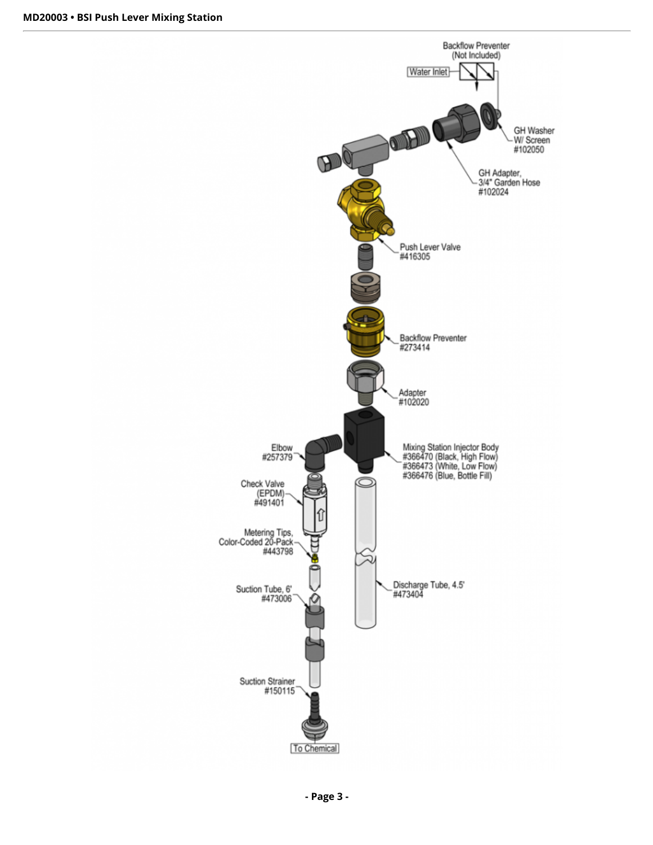